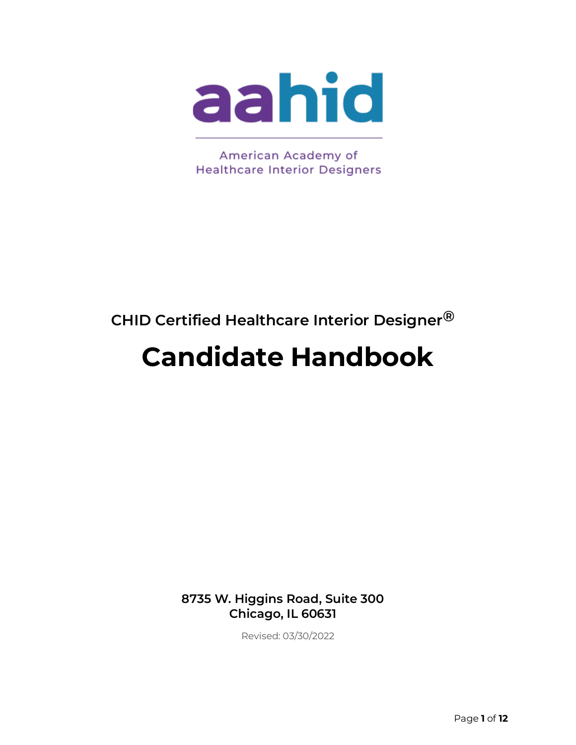

American Academy of **Healthcare Interior Designers** 

# **CHID Certified Healthcare Interior Designer®**

# **Candidate Handbook**

**8735 W. Higgins Road, Suite 300 Chicago, IL 60631**

Revised: 03/30/2022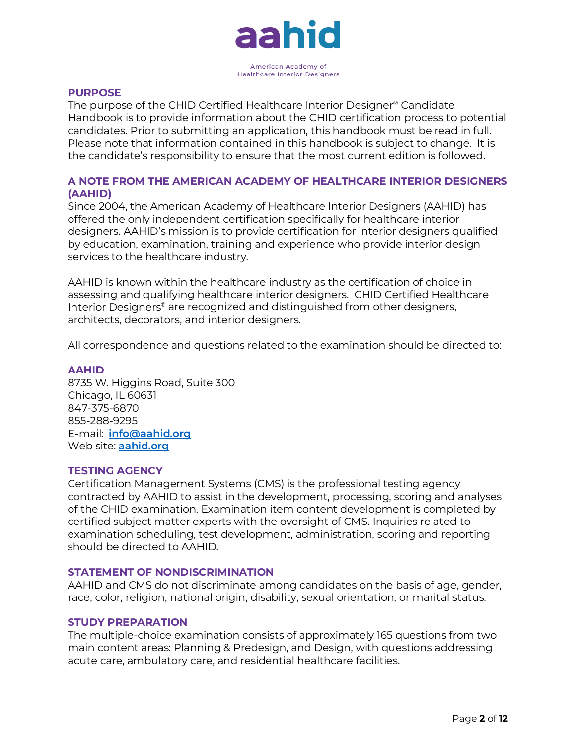

#### **PURPOSE**

The purpose of the CHID Certified Healthcare Interior Designer® Candidate Handbook is to provide information about the CHID certification process to potential candidates. Prior to submitting an application, this handbook must be read in full. Please note that information contained in this handbook is subject to change. It is the candidate's responsibility to ensure that the most current edition is followed.

#### **A NOTE FROM THE AMERICAN ACADEMY OF HEALTHCARE INTERIOR DESIGNERS (AAHID)**

Since 2004, the American Academy of Healthcare Interior Designers (AAHID) has offered the only independent certification specifically for healthcare interior designers. AAHID's mission is to provide certification for interior designers qualified by education, examination, training and experience who provide interior design services to the healthcare industry.

AAHID is known within the healthcare industry as the certification of choice in assessing and qualifying healthcare interior designers. CHID Certified Healthcare Interior Designers® are recognized and distinguished from other designers, architects, decorators, and interior designers.

All correspondence and questions related to the examination should be directed to:

#### **AAHID**

8735 W. Higgins Road, Suite 300 Chicago, IL 60631 847-375-6870 855-288-9295 E-mail: **[info@aahid.org](mailto:info@aahid.org)** Web site:**[aahid.org](https://aahid.org/)**

#### **TESTING AGENCY**

Certification Management Systems (CMS) is the professional testing agency contracted by AAHID to assist in the development, processing, scoring and analyses of the CHID examination. Examination item content development is completed by certified subject matter experts with the oversight of CMS. Inquiries related to examination scheduling, test development, administration, scoring and reporting should be directed to AAHID.

#### **STATEMENT OF NONDISCRIMINATION**

AAHID and CMS do not discriminate among candidates on the basis of age, gender, race, color, religion, national origin, disability, sexual orientation, or marital status.

#### **STUDY PREPARATION**

The multiple-choice examination consists of approximately 165 questions from two main content areas: Planning & Predesign, and Design, with questions addressing acute care, ambulatory care, and residential healthcare facilities.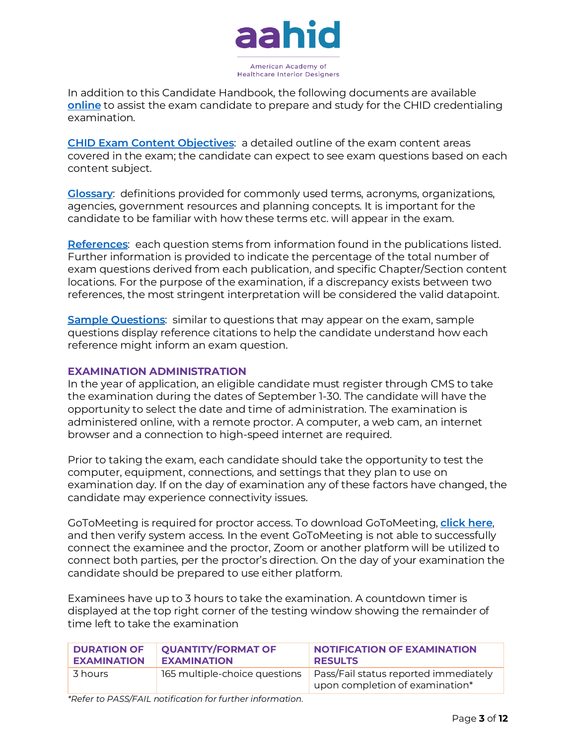

In addition to this Candidate Handbook, the following documents are available **[online](https://aahid.org/study-preparation/)** to assist the exam candidate to prepare and study for the CHID credentialing examination.

**[CHID Exam Content Objectives](https://aahid.org/study-preparation/)**: a detailed outline of the exam content areas covered in the exam; the candidate can expect to see exam questions based on each content subject.

**[Glossary](https://aahid.org/study-preparation/)**: definitions provided for commonly used terms, acronyms, organizations, agencies, government resources and planning concepts. It is important for the candidate to be familiar with how these terms etc. will appear in the exam.

**[References](https://aahid.org/study-preparation/)**: each question stems from information found in the publications listed. Further information is provided to indicate the percentage of the total number of exam questions derived from each publication, and specific Chapter/Section content locations. For the purpose of the examination, if a discrepancy exists between two references, the most stringent interpretation will be considered the valid datapoint.

**[Sample Questions](https://aahid.org/study-preparation/)**: similar to questions that may appear on the exam, sample questions display reference citations to help the candidate understand how each reference might inform an exam question.

#### **EXAMINATION ADMINISTRATION**

In the year of application, an eligible candidate must register through CMS to take the examination during the dates of September 1-30. The candidate will have the opportunity to select the date and time of administration. The examination is administered online, with a remote proctor. A computer, a web cam, an internet browser and a connection to high-speed internet are required.

Prior to taking the exam, each candidate should take the opportunity to test the computer, equipment, connections, and settings that they plan to use on examination day. If on the day of examination any of these factors have changed, the candidate may experience connectivity issues.

GoToMeeting is required for proctor access. To download GoToMeeting,**[click here](https://global.gotomeeting.com/join/333699349)**, and then verify system access. In the event GoToMeeting is not able to successfully connect the examinee and the proctor, Zoom or another platform will be utilized to connect both parties, per the proctor's direction. On the day of your examination the candidate should be prepared to use either platform.

Examinees have up to 3 hours to take the examination. A countdown timer is displayed at the top right corner of the testing window showing the remainder of time left to take the examination

| <b>DURATION OF</b> | <b>QUANTITY/FORMAT OF</b>     | <b>NOTIFICATION OF EXAMINATION</b>                                       |
|--------------------|-------------------------------|--------------------------------------------------------------------------|
| <b>EXAMINATION</b> | <b>EXAMINATION</b>            | <b>RESULTS</b>                                                           |
| 3 hours            | 165 multiple-choice questions | Pass/Fail status reported immediately<br>upon completion of examination* |

*\*Refer to PASS/FAIL notification for further information.*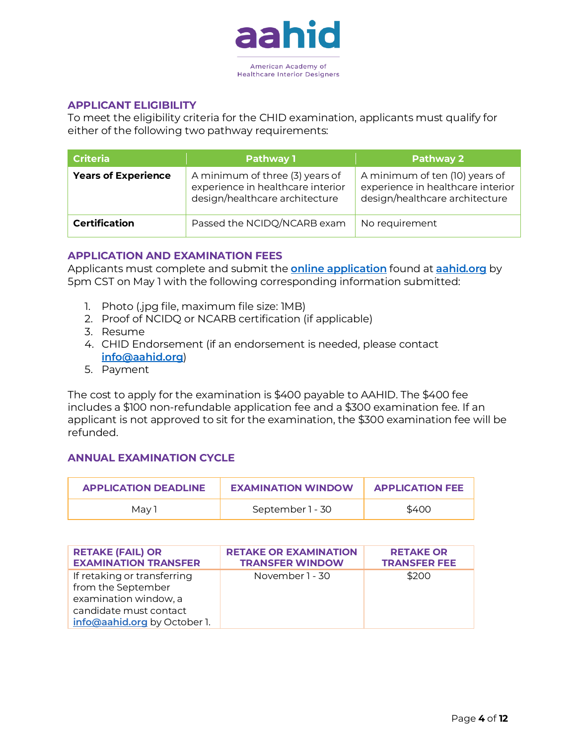

#### **APPLICANT ELIGIBILITY**

To meet the eligibility criteria for the CHID examination, applicants must qualify for either of the following two pathway requirements:

| <b>Criteria</b>            | <b>Pathway 1</b>                                                                                       | <b>Pathway 2</b>                                                                                      |
|----------------------------|--------------------------------------------------------------------------------------------------------|-------------------------------------------------------------------------------------------------------|
| <b>Years of Experience</b> | A minimum of three (3) years of<br>experience in healthcare interior<br>design/healthcare architecture | A minimum of ten (10) years of<br>experience in healthcare interior<br>design/healthcare architecture |
| <b>Certification</b>       | Passed the NCIDQ/NCARB exam                                                                            | No requirement                                                                                        |

#### **APPLICATION AND EXAMINATION FEES**

Applicants must complete and submit the **[online application](https://aahid.org/certification/chid-exam-application/)** found a[t](https://aahid.org/certification/chid-exam-application/) **[aahid.org](https://aahid.org/certification/chid-exam-application/)** by 5pm CST on May 1 with the following corresponding information submitted:

- 1. Photo (.jpg file, maximum file size: 1MB)
- 2. Proof of NCIDQ or NCARB certification (if applicable)
- 3. Resume
- 4. CHID Endorsement (if an endorsement is needed, please contact **[info@aahid.org](mailto:info@aahid.org)**)
- 5. Payment

The cost to apply for the examination is \$400 payable to AAHID. The \$400 fee includes a \$100 non-refundable application fee and a \$300 examination fee. If an applicant is not approved to sit for the examination, the \$300 examination fee will be refunded.

# **ANNUAL EXAMINATION CYCLE**

| <b>APPLICATION DEADLINE</b> | <b>EXAMINATION WINDOW</b> | <b>APPLICATION FEE</b> |
|-----------------------------|---------------------------|------------------------|
| Mav 1                       | September 1 - 30          | \$400                  |

| <b>RETAKE (FAIL) OR</b>                                                                                                              | <b>RETAKE OR EXAMINATION</b> | <b>RETAKE OR</b>    |
|--------------------------------------------------------------------------------------------------------------------------------------|------------------------------|---------------------|
| <b>EXAMINATION TRANSFER</b>                                                                                                          | <b>TRANSFER WINDOW</b>       | <b>TRANSFER FEE</b> |
| If retaking or transferring<br>from the September<br>examination window, a<br>candidate must contact<br>info@aahid.org by October 1. | November 1 - 30              | \$200               |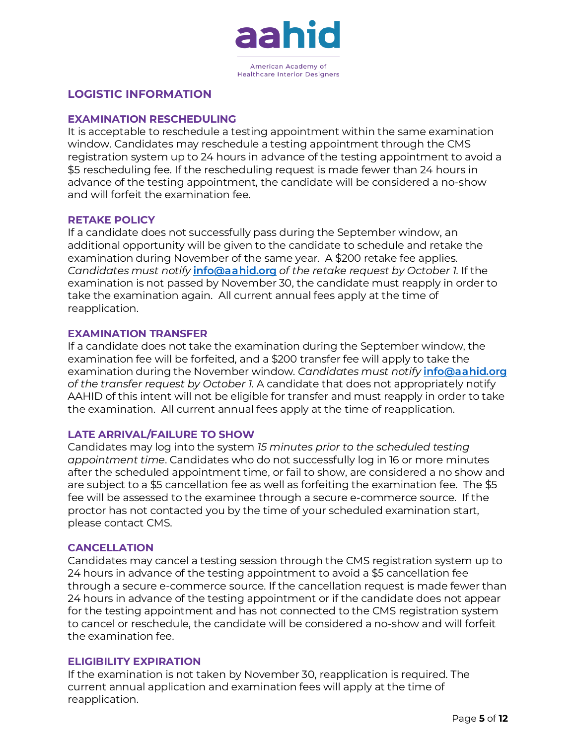

# **LOGISTIC INFORMATION**

# **EXAMINATION RESCHEDULING**

It is acceptable to reschedule a testing appointment within the same examination window. Candidates may reschedule a testing appointment through the CMS registration system up to 24 hours in advance of the testing appointment to avoid a \$5 rescheduling fee. If the rescheduling request is made fewer than 24 hours in advance of the testing appointment, the candidate will be considered a no-show and will forfeit the examination fee.

#### **RETAKE POLICY**

If a candidate does not successfully pass during the September window, an additional opportunity will be given to the candidate to schedule and retake the examination during November of the same year. A \$200 retake fee applies. *Candidates must notify* **[info@aahid.org](mailto:info@aahid.org)** *of the retake request by October 1*. If the examination is not passed by November 30, the candidate must reapply in order to take the examination again. All current annual fees apply at the time of reapplication.

#### **EXAMINATION TRANSFER**

If a candidate does not take the examination during the September window, the examination fee will be forfeited, and a \$200 transfer fee will apply to take the examination during the November window. *Candidates must notify* **[info@aahid.org](mailto:info@aahid.org)** *of the transfer request by October 1*. A candidate that does not appropriately notify AAHID of this intent will not be eligible for transfer and must reapply in order to take the examination. All current annual fees apply at the time of reapplication.

# **LATE ARRIVAL/FAILURE TO SHOW**

Candidates may log into the system *15 minutes prior to the scheduled testing appointment time*. Candidates who do not successfully log in 16 or more minutes after the scheduled appointment time, or fail to show, are considered a no show and are subject to a \$5 cancellation fee as well as forfeiting the examination fee. The \$5 fee will be assessed to the examinee through a secure e-commerce source. If the proctor has not contacted you by the time of your scheduled examination start, please contact CMS.

#### **CANCELLATION**

Candidates may cancel a testing session through the CMS registration system up to 24 hours in advance of the testing appointment to avoid a \$5 cancellation fee through a secure e-commerce source. If the cancellation request is made fewer than 24 hours in advance of the testing appointment or if the candidate does not appear for the testing appointment and has not connected to the CMS registration system to cancel or reschedule, the candidate will be considered a no-show and will forfeit the examination fee.

#### **ELIGIBILITY EXPIRATION**

If the examination is not taken by November 30, reapplication is required. The current annual application and examination fees will apply at the time of reapplication.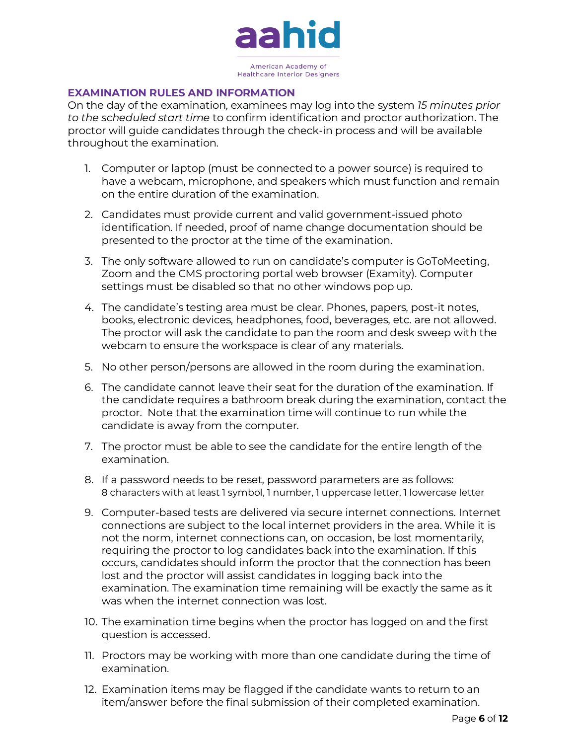

# **EXAMINATION RULES AND INFORMATION**

On the day of the examination, examinees may log into the system *15 minutes prior to the scheduled start time* to confirm identification and proctor authorization. The proctor will guide candidates through the check-in process and will be available throughout the examination.

- 1. Computer or laptop (must be connected to a power source) is required to have a webcam, microphone, and speakers which must function and remain on the entire duration of the examination.
- 2. Candidates must provide current and valid government-issued photo identification. If needed, proof of name change documentation should be presented to the proctor at the time of the examination.
- 3. The only software allowed to run on candidate's computer is GoToMeeting, Zoom and the CMS proctoring portal web browser (Examity). Computer settings must be disabled so that no other windows pop up.
- 4. The candidate's testing area must be clear. Phones, papers, post-it notes, books, electronic devices, headphones, food, beverages, etc. are not allowed. The proctor will ask the candidate to pan the room and desk sweep with the webcam to ensure the workspace is clear of any materials.
- 5. No other person/persons are allowed in the room during the examination.
- 6. The candidate cannot leave their seat for the duration of the examination. If the candidate requires a bathroom break during the examination, contact the proctor. Note that the examination time will continue to run while the candidate is away from the computer.
- 7. The proctor must be able to see the candidate for the entire length of the examination.
- 8. If a password needs to be reset, password parameters are as follows: 8 characters with at least 1 symbol, 1 number, 1 uppercase letter, 1 lowercase letter
- 9. Computer-based tests are delivered via secure internet connections. Internet connections are subject to the local internet providers in the area. While it is not the norm, internet connections can, on occasion, be lost momentarily, requiring the proctor to log candidates back into the examination. If this occurs, candidates should inform the proctor that the connection has been lost and the proctor will assist candidates in logging back into the examination. The examination time remaining will be exactly the same as it was when the internet connection was lost.
- 10. The examination time begins when the proctor has logged on and the first question is accessed.
- 11. Proctors may be working with more than one candidate during the time of examination.
- 12. Examination items may be flagged if the candidate wants to return to an item/answer before the final submission of their completed examination.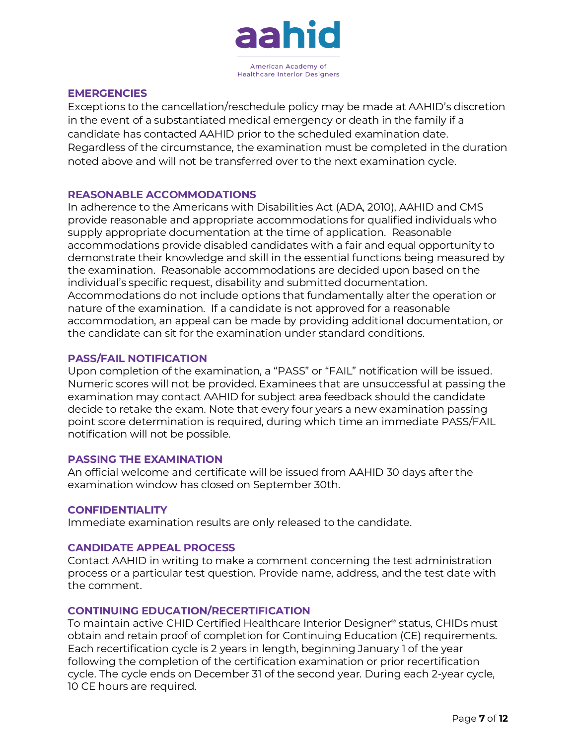

#### **EMERGENCIES**

Exceptions to the cancellation/reschedule policy may be made at AAHID's discretion in the event of a substantiated medical emergency or death in the family if a candidate has contacted AAHID prior to the scheduled examination date. Regardless of the circumstance, the examination must be completed in the duration noted above and will not be transferred over to the next examination cycle.

#### **REASONABLE ACCOMMODATIONS**

In adherence to the Americans with Disabilities Act (ADA, 2010), AAHID and CMS provide reasonable and appropriate accommodations for qualified individuals who supply appropriate documentation at the time of application. Reasonable accommodations provide disabled candidates with a fair and equal opportunity to demonstrate their knowledge and skill in the essential functions being measured by the examination. Reasonable accommodations are decided upon based on the individual's specific request, disability and submitted documentation. Accommodations do not include options that fundamentally alter the operation or nature of the examination. If a candidate is not approved for a reasonable accommodation, an appeal can be made by providing additional documentation, or the candidate can sit for the examination under standard conditions.

#### **PASS/FAIL NOTIFICATION**

Upon completion of the examination, a "PASS" or "FAIL" notification will be issued. Numeric scores will not be provided. Examinees that are unsuccessful at passing the examination may contact AAHID for subject area feedback should the candidate decide to retake the exam. Note that every four years a new examination passing point score determination is required, during which time an immediate PASS/FAIL notification will not be possible.

#### **PASSING THE EXAMINATION**

An official welcome and certificate will be issued from AAHID 30 days after the examination window has closed on September 30th.

#### **CONFIDENTIALITY**

Immediate examination results are only released to the candidate.

#### **CANDIDATE APPEAL PROCESS**

Contact AAHID in writing to make a comment concerning the test administration process or a particular test question. Provide name, address, and the test date with the comment.

#### **CONTINUING EDUCATION/RECERTIFICATION**

To maintain active CHID Certified Healthcare Interior Designer® status, CHIDs must obtain and retain proof of completion for Continuing Education (CE) requirements. Each recertification cycle is 2 years in length, beginning January 1 of the year following the completion of the certification examination or prior recertification cycle. The cycle ends on December 31 of the second year. During each 2-year cycle, 10 CE hours are required.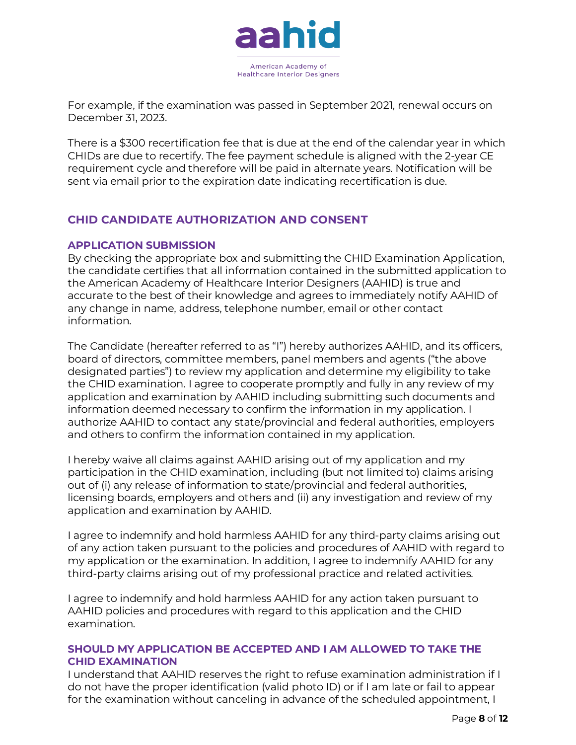

For example, if the examination was passed in September 2021, renewal occurs on December 31, 2023.

There is a \$300 recertification fee that is due at the end of the calendar year in which CHIDs are due to recertify. The fee payment schedule is aligned with the 2-year CE requirement cycle and therefore will be paid in alternate years. Notification will be sent via email prior to the expiration date indicating recertification is due.

# **CHID CANDIDATE AUTHORIZATION AND CONSENT**

#### **APPLICATION SUBMISSION**

By checking the appropriate box and submitting the CHID Examination Application, the candidate certifies that all information contained in the submitted application to the American Academy of Healthcare Interior Designers (AAHID) is true and accurate to the best of their knowledge and agrees to immediately notify AAHID of any change in name, address, telephone number, email or other contact information.

The Candidate (hereafter referred to as "I") hereby authorizes AAHID, and its officers, board of directors, committee members, panel members and agents ("the above designated parties") to review my application and determine my eligibility to take the CHID examination. I agree to cooperate promptly and fully in any review of my application and examination by AAHID including submitting such documents and information deemed necessary to confirm the information in my application. I authorize AAHID to contact any state/provincial and federal authorities, employers and others to confirm the information contained in my application.

I hereby waive all claims against AAHID arising out of my application and my participation in the CHID examination, including (but not limited to) claims arising out of (i) any release of information to state/provincial and federal authorities, licensing boards, employers and others and (ii) any investigation and review of my application and examination by AAHID.

I agree to indemnify and hold harmless AAHID for any third-party claims arising out of any action taken pursuant to the policies and procedures of AAHID with regard to my application or the examination. In addition, I agree to indemnify AAHID for any third-party claims arising out of my professional practice and related activities.

I agree to indemnify and hold harmless AAHID for any action taken pursuant to AAHID policies and procedures with regard to this application and the CHID examination.

## **SHOULD MY APPLICATION BE ACCEPTED AND I AM ALLOWED TO TAKE THE CHID EXAMINATION**

I understand that AAHID reserves the right to refuse examination administration if I do not have the proper identification (valid photo ID) or if I am late or fail to appear for the examination without canceling in advance of the scheduled appointment, I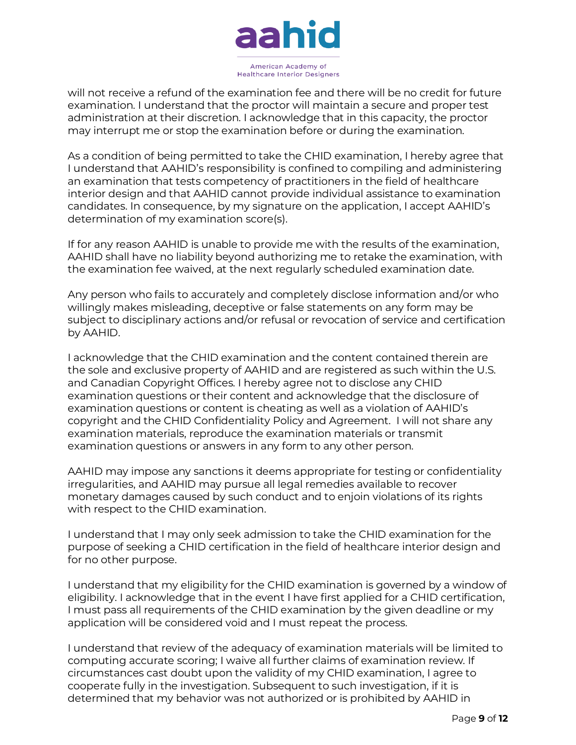

will not receive a refund of the examination fee and there will be no credit for future examination. I understand that the proctor will maintain a secure and proper test administration at their discretion. I acknowledge that in this capacity, the proctor may interrupt me or stop the examination before or during the examination.

As a condition of being permitted to take the CHID examination, I hereby agree that I understand that AAHID's responsibility is confined to compiling and administering an examination that tests competency of practitioners in the field of healthcare interior design and that AAHID cannot provide individual assistance to examination candidates. In consequence, by my signature on the application, I accept AAHID's determination of my examination score(s).

If for any reason AAHID is unable to provide me with the results of the examination, AAHID shall have no liability beyond authorizing me to retake the examination, with the examination fee waived, at the next regularly scheduled examination date.

Any person who fails to accurately and completely disclose information and/or who willingly makes misleading, deceptive or false statements on any form may be subject to disciplinary actions and/or refusal or revocation of service and certification by AAHID.

I acknowledge that the CHID examination and the content contained therein are the sole and exclusive property of AAHID and are registered as such within the U.S. and Canadian Copyright Offices. I hereby agree not to disclose any CHID examination questions or their content and acknowledge that the disclosure of examination questions or content is cheating as well as a violation of AAHID's copyright and the CHID Confidentiality Policy and Agreement. I will not share any examination materials, reproduce the examination materials or transmit examination questions or answers in any form to any other person.

AAHID may impose any sanctions it deems appropriate for testing or confidentiality irregularities, and AAHID may pursue all legal remedies available to recover monetary damages caused by such conduct and to enjoin violations of its rights with respect to the CHID examination.

I understand that I may only seek admission to take the CHID examination for the purpose of seeking a CHID certification in the field of healthcare interior design and for no other purpose.

I understand that my eligibility for the CHID examination is governed by a window of eligibility. I acknowledge that in the event I have first applied for a CHID certification, I must pass all requirements of the CHID examination by the given deadline or my application will be considered void and I must repeat the process.

I understand that review of the adequacy of examination materials will be limited to computing accurate scoring; I waive all further claims of examination review. If circumstances cast doubt upon the validity of my CHID examination, I agree to cooperate fully in the investigation. Subsequent to such investigation, if it is determined that my behavior was not authorized or is prohibited by AAHID in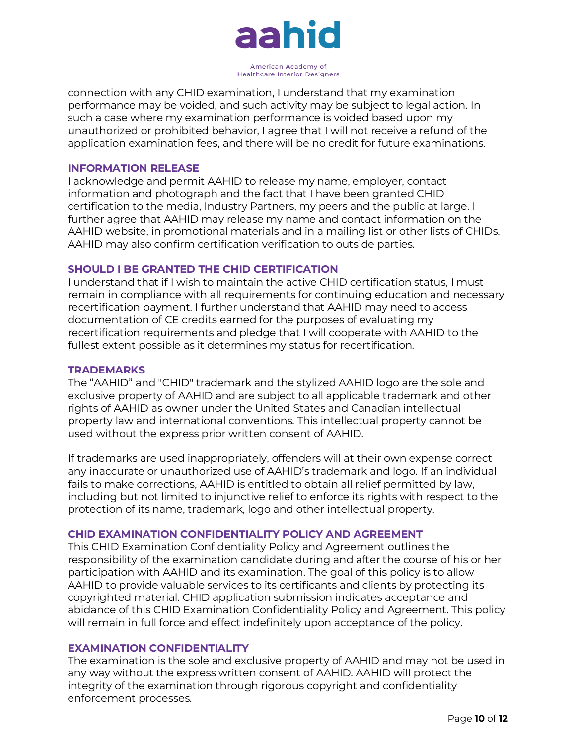

connection with any CHID examination, I understand that my examination performance may be voided, and such activity may be subject to legal action. In such a case where my examination performance is voided based upon my unauthorized or prohibited behavior, I agree that I will not receive a refund of the application examination fees, and there will be no credit for future examinations.

#### **INFORMATION RELEASE**

I acknowledge and permit AAHID to release my name, employer, contact information and photograph and the fact that I have been granted CHID certification to the media, Industry Partners, my peers and the public at large. I further agree that AAHID may release my name and contact information on the AAHID website, in promotional materials and in a mailing list or other lists of CHIDs. AAHID may also confirm certification verification to outside parties.

#### **SHOULD I BE GRANTED THE CHID CERTIFICATION**

I understand that if I wish to maintain the active CHID certification status, I must remain in compliance with all requirements for continuing education and necessary recertification payment. I further understand that AAHID may need to access documentation of CE credits earned for the purposes of evaluating my recertification requirements and pledge that I will cooperate with AAHID to the fullest extent possible as it determines my status for recertification.

#### **TRADEMARKS**

The "AAHID" and "CHID" trademark and the stylized AAHID logo are the sole and exclusive property of AAHID and are subject to all applicable trademark and other rights of AAHID as owner under the United States and Canadian intellectual property law and international conventions. This intellectual property cannot be used without the express prior written consent of AAHID.

If trademarks are used inappropriately, offenders will at their own expense correct any inaccurate or unauthorized use of AAHID's trademark and logo. If an individual fails to make corrections, AAHID is entitled to obtain all relief permitted by law, including but not limited to injunctive relief to enforce its rights with respect to the protection of its name, trademark, logo and other intellectual property.

#### **CHID EXAMINATION CONFIDENTIALITY POLICY AND AGREEMENT**

This CHID Examination Confidentiality Policy and Agreement outlines the responsibility of the examination candidate during and after the course of his or her participation with AAHID and its examination. The goal of this policy is to allow AAHID to provide valuable services to its certificants and clients by protecting its copyrighted material. CHID application submission indicates acceptance and abidance of this CHID Examination Confidentiality Policy and Agreement. This policy will remain in full force and effect indefinitely upon acceptance of the policy.

#### **EXAMINATION CONFIDENTIALITY**

The examination is the sole and exclusive property of AAHID and may not be used in any way without the express written consent of AAHID. AAHID will protect the integrity of the examination through rigorous copyright and confidentiality enforcement processes.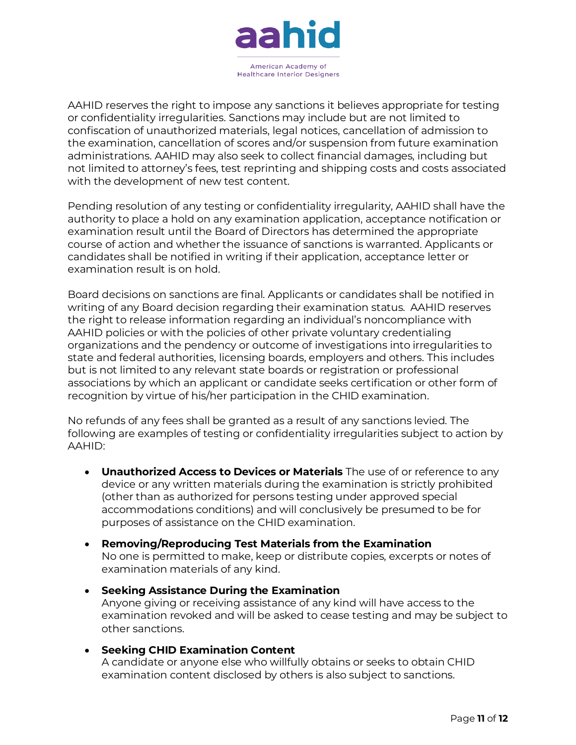

AAHID reserves the right to impose any sanctions it believes appropriate for testing or confidentiality irregularities. Sanctions may include but are not limited to confiscation of unauthorized materials, legal notices, cancellation of admission to the examination, cancellation of scores and/or suspension from future examination administrations. AAHID may also seek to collect financial damages, including but not limited to attorney's fees, test reprinting and shipping costs and costs associated with the development of new test content.

Pending resolution of any testing or confidentiality irregularity, AAHID shall have the authority to place a hold on any examination application, acceptance notification or examination result until the Board of Directors has determined the appropriate course of action and whether the issuance of sanctions is warranted. Applicants or candidates shall be notified in writing if their application, acceptance letter or examination result is on hold.

Board decisions on sanctions are final. Applicants or candidates shall be notified in writing of any Board decision regarding their examination status. AAHID reserves the right to release information regarding an individual's noncompliance with AAHID policies or with the policies of other private voluntary credentialing organizations and the pendency or outcome of investigations into irregularities to state and federal authorities, licensing boards, employers and others. This includes but is not limited to any relevant state boards or registration or professional associations by which an applicant or candidate seeks certification or other form of recognition by virtue of his/her participation in the CHID examination.

No refunds of any fees shall be granted as a result of any sanctions levied. The following are examples of testing or confidentiality irregularities subject to action by AAHID:

- **Unauthorized Access to Devices or Materials** The use of or reference to any device or any written materials during the examination is strictly prohibited (other than as authorized for persons testing under approved special accommodations conditions) and will conclusively be presumed to be for purposes of assistance on the CHID examination.
- **Removing/Reproducing Test Materials from the Examination** No one is permitted to make, keep or distribute copies, excerpts or notes of examination materials of any kind.
- **Seeking Assistance During the Examination** Anyone giving or receiving assistance of any kind will have access to the examination revoked and will be asked to cease testing and may be subject to other sanctions.
- **Seeking CHID Examination Content** A candidate or anyone else who willfully obtains or seeks to obtain CHID examination content disclosed by others is also subject to sanctions.